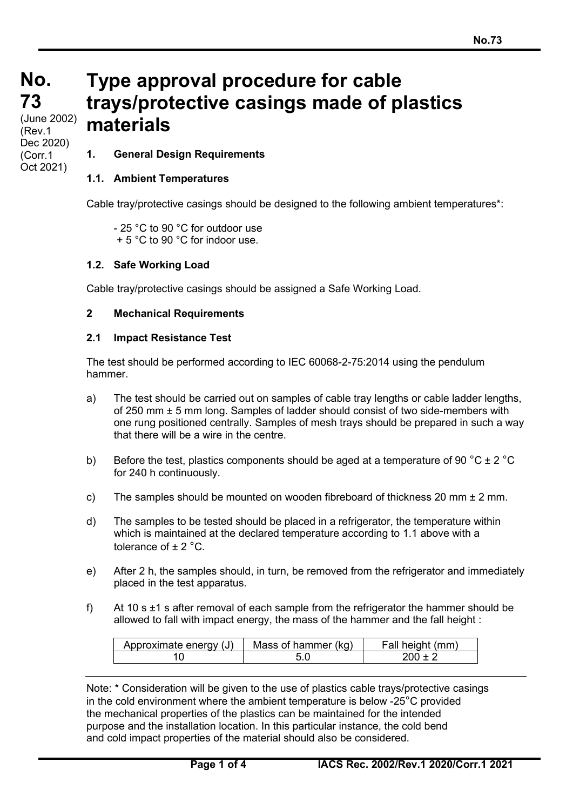# **No. No. 73 73 Type approval procedure for cable trays/protective casings made of plastics materials**

(cont) (June 2002) (Rev.1 Dec 2020) (Corr.1 Oct 2021)

# **1. General Design Requirements**

## **1.1. Ambient Temperatures**

Cable tray/protective casings should be designed to the following ambient temperatures\*:

- 25 °C to 90 °C for outdoor use + 5 °C to 90 °C for indoor use.

## **1.2. Safe Working Load**

Cable tray/protective casings should be assigned a Safe Working Load.

#### **2 Mechanical Requirements**

#### **2.1 Impact Resistance Test**

The test should be performed according to IEC 60068-2-75:2014 using the pendulum hammer.

- a) The test should be carried out on samples of cable tray lengths or cable ladder lengths, of 250 mm ± 5 mm long. Samples of ladder should consist of two side-members with one rung positioned centrally. Samples of mesh trays should be prepared in such a way that there will be a wire in the centre.
- b) Before the test, plastics components should be aged at a temperature of 90 °C  $\pm$  2 °C for 240 h continuously.
- c) The samples should be mounted on wooden fibreboard of thickness 20 mm  $\pm$  2 mm.
- d) The samples to be tested should be placed in a refrigerator, the temperature within which is maintained at the declared temperature according to 1.1 above with a tolerance of  $+ 2 \degree C$ .
- e) After 2 h, the samples should, in turn, be removed from the refrigerator and immediately placed in the test apparatus.
- f) At 10 s  $\pm$ 1 s after removal of each sample from the refrigerator the hammer should be allowed to fall with impact energy, the mass of the hammer and the fall height :

| Approximate energy (J) | Mass of hammer (kg) | Fall height (mm) |
|------------------------|---------------------|------------------|
|                        |                     | $200 + 7$        |

Note: \* Consideration will be given to the use of plastics cable trays/protective casings in the cold environment where the ambient temperature is below -25°C provided the mechanical properties of the plastics can be maintained for the intended purpose and the installation location. In this particular instance, the cold bend and cold impact properties of the material should also be considered.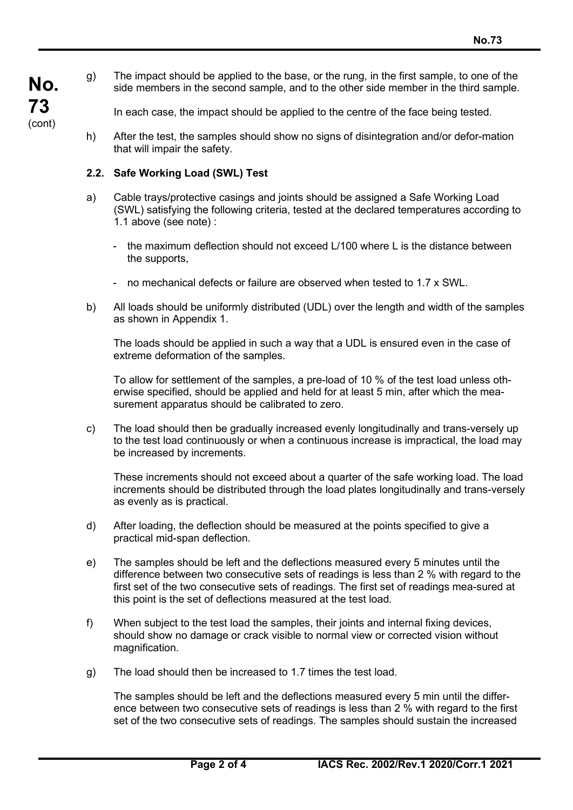g) The impact should be applied to the base, or the rung, in the first sample, to one of the side members in the second sample, and to the other side member in the third sample.

In each case, the impact should be applied to the centre of the face being tested.

h) After the test, the samples should show no signs of disintegration and/or defor-mation that will impair the safety.

## **2.2. Safe Working Load (SWL) Test**

- a) Cable trays/protective casings and joints should be assigned a Safe Working Load (SWL) satisfying the following criteria, tested at the declared temperatures according to 1.1 above (see note) :
	- the maximum deflection should not exceed L/100 where L is the distance between the supports,
	- no mechanical defects or failure are observed when tested to 1.7 x SWL.
- b) All loads should be uniformly distributed (UDL) over the length and width of the samples as shown in Appendix 1.

The loads should be applied in such a way that a UDL is ensured even in the case of extreme deformation of the samples.

To allow for settlement of the samples, a pre-load of 10 % of the test load unless otherwise specified, should be applied and held for at least 5 min, after which the measurement apparatus should be calibrated to zero.

c) The load should then be gradually increased evenly longitudinally and trans-versely up to the test load continuously or when a continuous increase is impractical, the load may be increased by increments.

These increments should not exceed about a quarter of the safe working load. The load increments should be distributed through the load plates longitudinally and trans-versely as evenly as is practical.

- d) After loading, the deflection should be measured at the points specified to give a practical mid-span deflection.
- e) The samples should be left and the deflections measured every 5 minutes until the difference between two consecutive sets of readings is less than 2 % with regard to the first set of the two consecutive sets of readings. The first set of readings mea-sured at this point is the set of deflections measured at the test load.
- f) When subject to the test load the samples, their joints and internal fixing devices, should show no damage or crack visible to normal view or corrected vision without magnification.
- g) The load should then be increased to 1.7 times the test load.

The samples should be left and the deflections measured every 5 min until the difference between two consecutive sets of readings is less than 2 % with regard to the first set of the two consecutive sets of readings. The samples should sustain the increased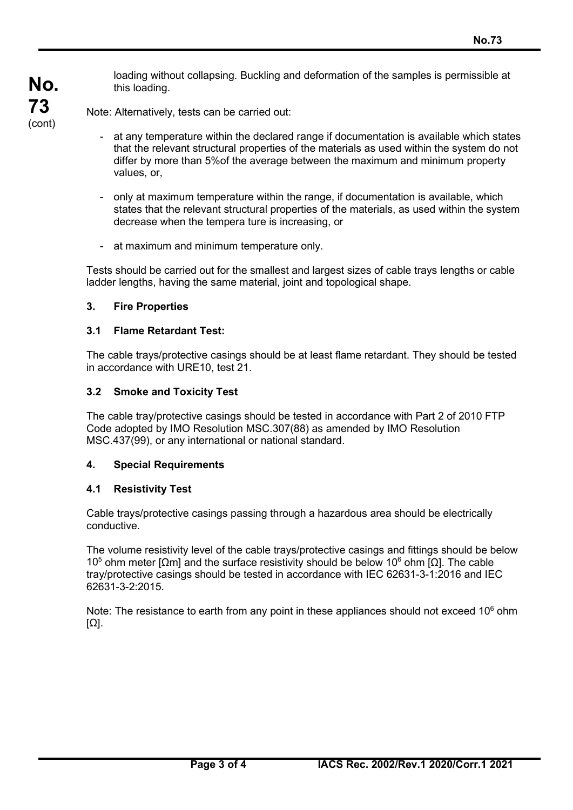loading without collapsing. Buckling and deformation of the samples is permissible at this loading.

Note: Alternatively, tests can be carried out:

- at any temperature within the declared range if documentation is available which states that the relevant structural properties of the materials as used within the system do not differ by more than 5%of the average between the maximum and minimum property values, or,
- only at maximum temperature within the range, if documentation is available, which states that the relevant structural properties of the materials, as used within the system decrease when the tempera ture is increasing, or
- at maximum and minimum temperature only.

Tests should be carried out for the smallest and largest sizes of cable trays lengths or cable ladder lengths, having the same material, joint and topological shape.

# **3. Fire Properties**

**No.**

**73** (cont)

## **3.1 Flame Retardant Test:**

The cable trays/protective casings should be at least flame retardant. They should be tested in accordance with URE10, test 21.

# **3.2 Smoke and Toxicity Test**

The cable tray/protective casings should be tested in accordance with Part 2 of 2010 FTP Code adopted by IMO Resolution MSC.307(88) as amended by IMO Resolution MSC.437(99), or any international or national standard.

## **4. Special Requirements**

## **4.1 Resistivity Test**

Cable trays/protective casings passing through a hazardous area should be electrically conductive.

The volume resistivity level of the cable trays/protective casings and fittings should be below 10<sup>5</sup> ohm meter [Ωm] and the surface resistivity should be below 10<sup>6</sup> ohm [Ω]. The cable tray/protective casings should be tested in accordance with IEC 62631-3-1:2016 and IEC 62631-3-2:2015.

Note: The resistance to earth from any point in these appliances should n*o*t exceed 106 ohm [Ω].